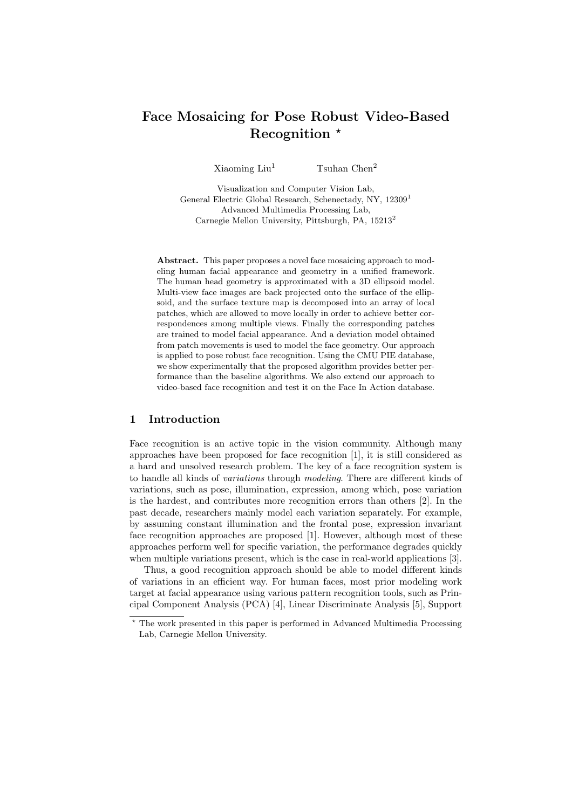# Face Mosaicing for Pose Robust Video-Based Recognition  $*$

 $Xiaoming Liu<sup>1</sup>$  Tsuhan Chen<sup>2</sup>

Visualization and Computer Vision Lab, General Electric Global Research, Schenectady, NY, 12309<sup>1</sup> Advanced Multimedia Processing Lab, Carnegie Mellon University, Pittsburgh, PA, 15213<sup>2</sup>

Abstract. This paper proposes a novel face mosaicing approach to modeling human facial appearance and geometry in a unified framework. The human head geometry is approximated with a 3D ellipsoid model. Multi-view face images are back projected onto the surface of the ellipsoid, and the surface texture map is decomposed into an array of local patches, which are allowed to move locally in order to achieve better correspondences among multiple views. Finally the corresponding patches are trained to model facial appearance. And a deviation model obtained from patch movements is used to model the face geometry. Our approach is applied to pose robust face recognition. Using the CMU PIE database, we show experimentally that the proposed algorithm provides better performance than the baseline algorithms. We also extend our approach to video-based face recognition and test it on the Face In Action database.

# 1 Introduction

Face recognition is an active topic in the vision community. Although many approaches have been proposed for face recognition [1], it is still considered as a hard and unsolved research problem. The key of a face recognition system is to handle all kinds of variations through modeling. There are different kinds of variations, such as pose, illumination, expression, among which, pose variation is the hardest, and contributes more recognition errors than others [2]. In the past decade, researchers mainly model each variation separately. For example, by assuming constant illumination and the frontal pose, expression invariant face recognition approaches are proposed [1]. However, although most of these approaches perform well for specific variation, the performance degrades quickly when multiple variations present, which is the case in real-world applications [3].

Thus, a good recognition approach should be able to model different kinds of variations in an efficient way. For human faces, most prior modeling work target at facial appearance using various pattern recognition tools, such as Principal Component Analysis (PCA) [4], Linear Discriminate Analysis [5], Support

<sup>?</sup> The work presented in this paper is performed in Advanced Multimedia Processing Lab, Carnegie Mellon University.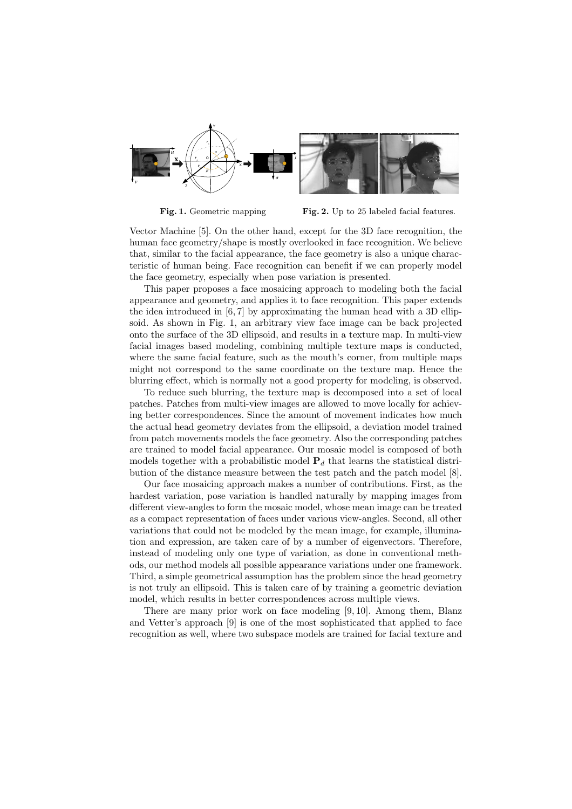

Fig. 1. Geometric mapping Fig. 2. Up to 25 labeled facial features.

Vector Machine [5]. On the other hand, except for the 3D face recognition, the human face geometry/shape is mostly overlooked in face recognition. We believe that, similar to the facial appearance, the face geometry is also a unique characteristic of human being. Face recognition can benefit if we can properly model the face geometry, especially when pose variation is presented.

This paper proposes a face mosaicing approach to modeling both the facial appearance and geometry, and applies it to face recognition. This paper extends the idea introduced in [6, 7] by approximating the human head with a 3D ellipsoid. As shown in Fig. 1, an arbitrary view face image can be back projected onto the surface of the 3D ellipsoid, and results in a texture map. In multi-view facial images based modeling, combining multiple texture maps is conducted, where the same facial feature, such as the mouth's corner, from multiple maps might not correspond to the same coordinate on the texture map. Hence the blurring effect, which is normally not a good property for modeling, is observed.

To reduce such blurring, the texture map is decomposed into a set of local patches. Patches from multi-view images are allowed to move locally for achieving better correspondences. Since the amount of movement indicates how much the actual head geometry deviates from the ellipsoid, a deviation model trained from patch movements models the face geometry. Also the corresponding patches are trained to model facial appearance. Our mosaic model is composed of both models together with a probabilistic model  $P_d$  that learns the statistical distribution of the distance measure between the test patch and the patch model [8].

Our face mosaicing approach makes a number of contributions. First, as the hardest variation, pose variation is handled naturally by mapping images from different view-angles to form the mosaic model, whose mean image can be treated as a compact representation of faces under various view-angles. Second, all other variations that could not be modeled by the mean image, for example, illumination and expression, are taken care of by a number of eigenvectors. Therefore, instead of modeling only one type of variation, as done in conventional methods, our method models all possible appearance variations under one framework. Third, a simple geometrical assumption has the problem since the head geometry is not truly an ellipsoid. This is taken care of by training a geometric deviation model, which results in better correspondences across multiple views.

There are many prior work on face modeling [9, 10]. Among them, Blanz and Vetter's approach [9] is one of the most sophisticated that applied to face recognition as well, where two subspace models are trained for facial texture and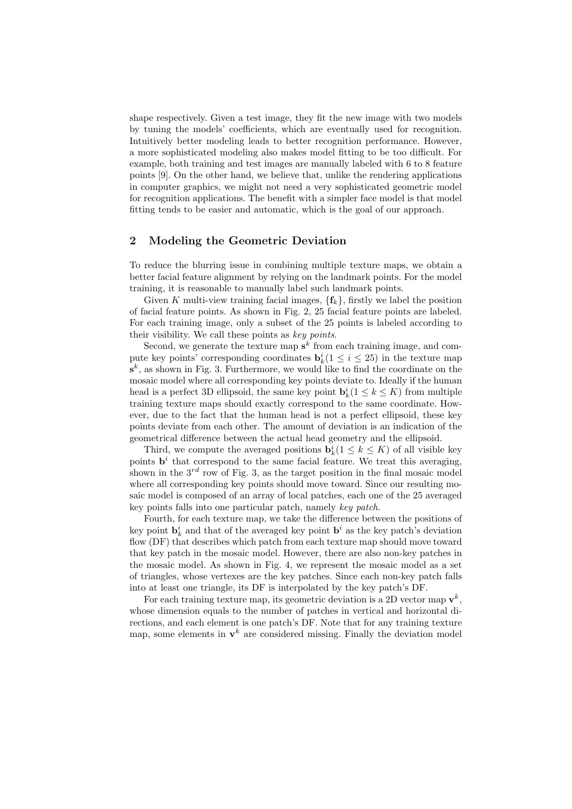shape respectively. Given a test image, they fit the new image with two models by tuning the models' coefficients, which are eventually used for recognition. Intuitively better modeling leads to better recognition performance. However, a more sophisticated modeling also makes model fitting to be too difficult. For example, both training and test images are manually labeled with 6 to 8 feature points [9]. On the other hand, we believe that, unlike the rendering applications in computer graphics, we might not need a very sophisticated geometric model for recognition applications. The benefit with a simpler face model is that model fitting tends to be easier and automatic, which is the goal of our approach.

## 2 Modeling the Geometric Deviation

To reduce the blurring issue in combining multiple texture maps, we obtain a better facial feature alignment by relying on the landmark points. For the model training, it is reasonable to manually label such landmark points.

Given K multi-view training facial images,  $\{f_k\}$ , firstly we label the position of facial feature points. As shown in Fig. 2, 25 facial feature points are labeled. For each training image, only a subset of the 25 points is labeled according to their visibility. We call these points as key points.

Second, we generate the texture map  $s^k$  from each training image, and compute key points' corresponding coordinates  $\mathbf{b}_k^i (1 \leq i \leq 25)$  in the texture map  $s<sup>k</sup>$ , as shown in Fig. 3. Furthermore, we would like to find the coordinate on the mosaic model where all corresponding key points deviate to. Ideally if the human head is a perfect 3D ellipsoid, the same key point  $\mathbf{b}_k^i (1 \leq k \leq K)$  from multiple training texture maps should exactly correspond to the same coordinate. However, due to the fact that the human head is not a perfect ellipsoid, these key points deviate from each other. The amount of deviation is an indication of the geometrical difference between the actual head geometry and the ellipsoid.

Third, we compute the averaged positions  $\mathbf{b}_k^i (1 \leq k \leq K)$  of all visible key points  $\mathbf{b}^i$  that correspond to the same facial feature. We treat this averaging, shown in the  $3^{rd}$  row of Fig. 3, as the target position in the final mosaic model where all corresponding key points should move toward. Since our resulting mosaic model is composed of an array of local patches, each one of the 25 averaged key points falls into one particular patch, namely key patch.

Fourth, for each texture map, we take the difference between the positions of key point  $\mathbf{b}_k^i$  and that of the averaged key point  $\mathbf{b}^i$  as the key patch's deviation flow (DF) that describes which patch from each texture map should move toward that key patch in the mosaic model. However, there are also non-key patches in the mosaic model. As shown in Fig. 4, we represent the mosaic model as a set of triangles, whose vertexes are the key patches. Since each non-key patch falls into at least one triangle, its DF is interpolated by the key patch's DF.

For each training texture map, its geometric deviation is a 2D vector map  $\mathbf{v}^k$ , whose dimension equals to the number of patches in vertical and horizontal directions, and each element is one patch's DF. Note that for any training texture map, some elements in  $v^k$  are considered missing. Finally the deviation model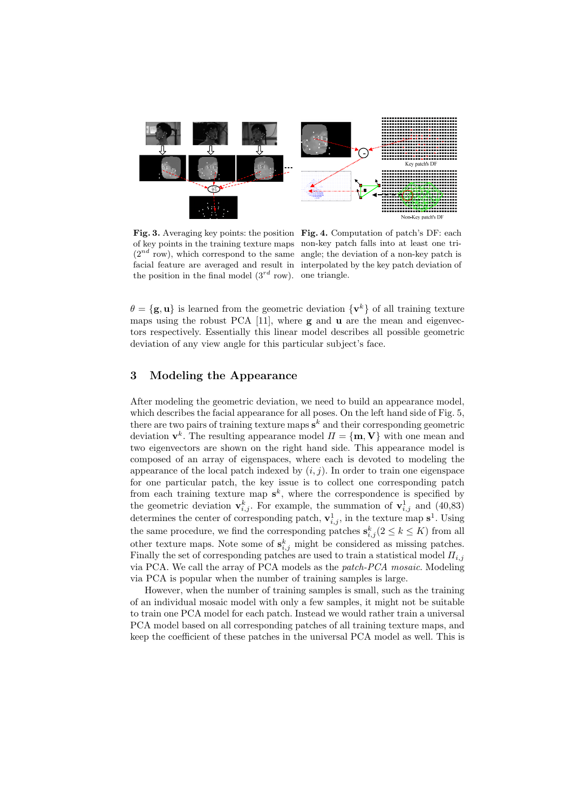

Fig. 3. Averaging key points: the position Fig. 4. Computation of patch's DF: each of key points in the training texture maps non-key patch falls into at least one tri- $(2^{nd}$  row), which correspond to the same angle; the deviation of a non-key patch is facial feature are averaged and result in interpolated by the key patch deviation of the position in the final model  $(3^{rd}$  row). one triangle.

 $\theta = {\bf g, u}$  is learned from the geometric deviation  ${\bf v}^k$  of all training texture maps using the robust PCA [11], where  $g$  and  $u$  are the mean and eigenvectors respectively. Essentially this linear model describes all possible geometric deviation of any view angle for this particular subject's face.

## 3 Modeling the Appearance

After modeling the geometric deviation, we need to build an appearance model, which describes the facial appearance for all poses. On the left hand side of Fig. 5, there are two pairs of training texture maps  $s^k$  and their corresponding geometric deviation  $\mathbf{v}^k$ . The resulting appearance model  $\Pi = \{\mathbf{m}, \mathbf{V}\}\$  with one mean and two eigenvectors are shown on the right hand side. This appearance model is composed of an array of eigenspaces, where each is devoted to modeling the appearance of the local patch indexed by  $(i, j)$ . In order to train one eigenspace for one particular patch, the key issue is to collect one corresponding patch from each training texture map  $s^k$ , where the correspondence is specified by the geometric deviation  $\mathbf{v}_{i,j}^k$ . For example, the summation of  $\mathbf{v}_{i,j}^1$  and (40,83) determines the center of corresponding patch,  $\mathbf{v}_{i,j}^1$ , in the texture map  $\mathbf{s}^1$ . Using the same procedure, we find the corresponding patches  $\mathbf{s}_{i,j}^k (2 \leq k \leq K)$  from all other texture maps. Note some of  $s_{i,j}^k$  might be considered as missing patches. Finally the set of corresponding patches are used to train a statistical model  $\Pi_{i,j}$ via PCA. We call the array of PCA models as the patch-PCA mosaic. Modeling via PCA is popular when the number of training samples is large.

However, when the number of training samples is small, such as the training of an individual mosaic model with only a few samples, it might not be suitable to train one PCA model for each patch. Instead we would rather train a universal PCA model based on all corresponding patches of all training texture maps, and keep the coefficient of these patches in the universal PCA model as well. This is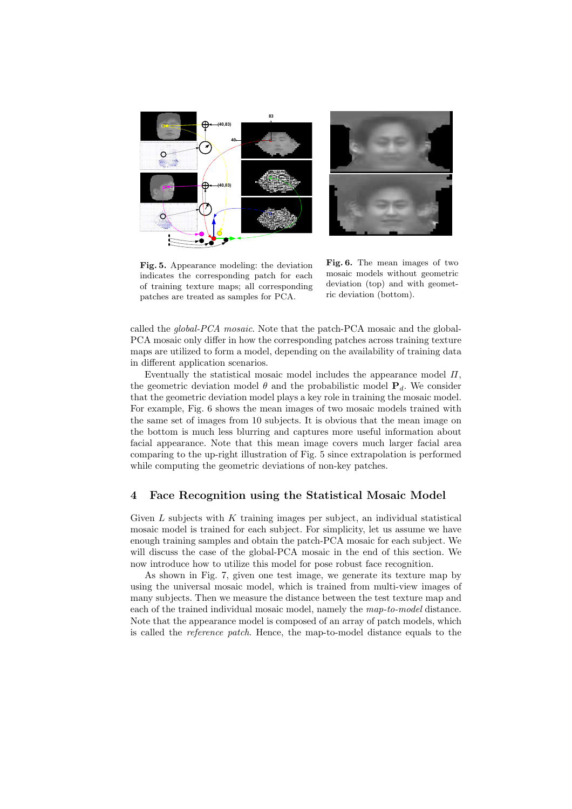

Fig. 5. Appearance modeling: the deviation indicates the corresponding patch for each of training texture maps; all corresponding patches are treated as samples for PCA.

Fig. 6. The mean images of two mosaic models without geometric deviation (top) and with geometric deviation (bottom).

called the global-PCA mosaic. Note that the patch-PCA mosaic and the global-PCA mosaic only differ in how the corresponding patches across training texture maps are utilized to form a model, depending on the availability of training data in different application scenarios.

Eventually the statistical mosaic model includes the appearance model  $\Pi$ , the geometric deviation model  $\theta$  and the probabilistic model  $P_d$ . We consider that the geometric deviation model plays a key role in training the mosaic model. For example, Fig. 6 shows the mean images of two mosaic models trained with the same set of images from 10 subjects. It is obvious that the mean image on the bottom is much less blurring and captures more useful information about facial appearance. Note that this mean image covers much larger facial area comparing to the up-right illustration of Fig. 5 since extrapolation is performed while computing the geometric deviations of non-key patches.

## 4 Face Recognition using the Statistical Mosaic Model

Given  $L$  subjects with  $K$  training images per subject, an individual statistical mosaic model is trained for each subject. For simplicity, let us assume we have enough training samples and obtain the patch-PCA mosaic for each subject. We will discuss the case of the global-PCA mosaic in the end of this section. We now introduce how to utilize this model for pose robust face recognition.

As shown in Fig. 7, given one test image, we generate its texture map by using the universal mosaic model, which is trained from multi-view images of many subjects. Then we measure the distance between the test texture map and each of the trained individual mosaic model, namely the map-to-model distance. Note that the appearance model is composed of an array of patch models, which is called the reference patch. Hence, the map-to-model distance equals to the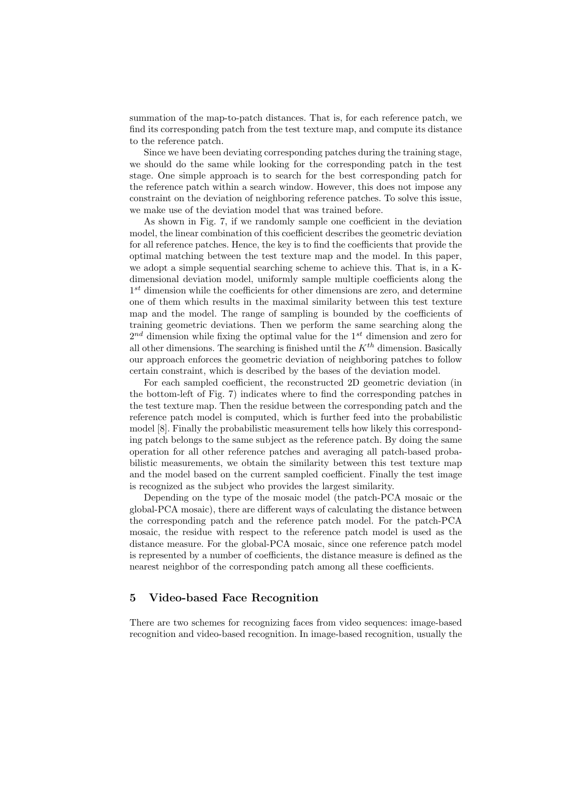summation of the map-to-patch distances. That is, for each reference patch, we find its corresponding patch from the test texture map, and compute its distance to the reference patch.

Since we have been deviating corresponding patches during the training stage, we should do the same while looking for the corresponding patch in the test stage. One simple approach is to search for the best corresponding patch for the reference patch within a search window. However, this does not impose any constraint on the deviation of neighboring reference patches. To solve this issue, we make use of the deviation model that was trained before.

As shown in Fig. 7, if we randomly sample one coefficient in the deviation model, the linear combination of this coefficient describes the geometric deviation for all reference patches. Hence, the key is to find the coefficients that provide the optimal matching between the test texture map and the model. In this paper, we adopt a simple sequential searching scheme to achieve this. That is, in a Kdimensional deviation model, uniformly sample multiple coefficients along the  $1<sup>st</sup>$  dimension while the coefficients for other dimensions are zero, and determine one of them which results in the maximal similarity between this test texture map and the model. The range of sampling is bounded by the coefficients of training geometric deviations. Then we perform the same searching along the  $2^{nd}$  dimension while fixing the optimal value for the  $1^{st}$  dimension and zero for all other dimensions. The searching is finished until the  $K^{th}$  dimension. Basically our approach enforces the geometric deviation of neighboring patches to follow certain constraint, which is described by the bases of the deviation model.

For each sampled coefficient, the reconstructed 2D geometric deviation (in the bottom-left of Fig. 7) indicates where to find the corresponding patches in the test texture map. Then the residue between the corresponding patch and the reference patch model is computed, which is further feed into the probabilistic model [8]. Finally the probabilistic measurement tells how likely this corresponding patch belongs to the same subject as the reference patch. By doing the same operation for all other reference patches and averaging all patch-based probabilistic measurements, we obtain the similarity between this test texture map and the model based on the current sampled coefficient. Finally the test image is recognized as the subject who provides the largest similarity.

Depending on the type of the mosaic model (the patch-PCA mosaic or the global-PCA mosaic), there are different ways of calculating the distance between the corresponding patch and the reference patch model. For the patch-PCA mosaic, the residue with respect to the reference patch model is used as the distance measure. For the global-PCA mosaic, since one reference patch model is represented by a number of coefficients, the distance measure is defined as the nearest neighbor of the corresponding patch among all these coefficients.

#### 5 Video-based Face Recognition

There are two schemes for recognizing faces from video sequences: image-based recognition and video-based recognition. In image-based recognition, usually the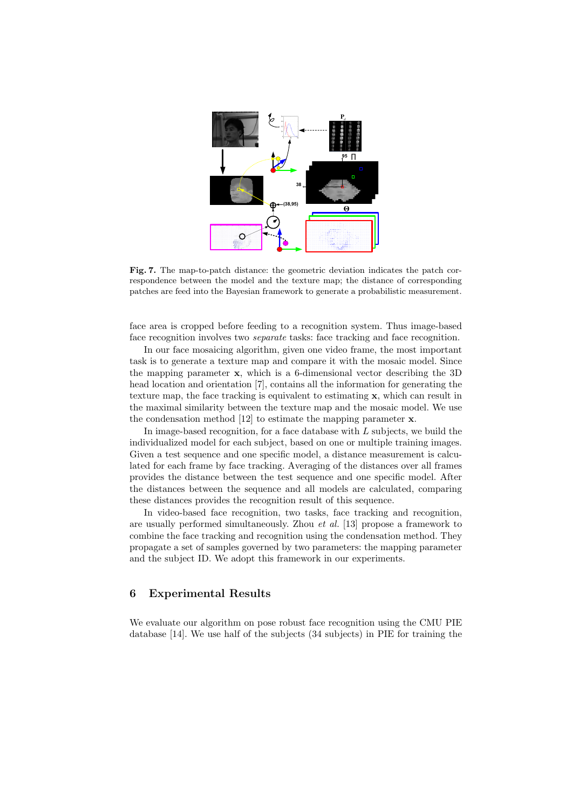

Fig. 7. The map-to-patch distance: the geometric deviation indicates the patch correspondence between the model and the texture map; the distance of corresponding patches are feed into the Bayesian framework to generate a probabilistic measurement.

face area is cropped before feeding to a recognition system. Thus image-based face recognition involves two *separate* tasks: face tracking and face recognition.

In our face mosaicing algorithm, given one video frame, the most important task is to generate a texture map and compare it with the mosaic model. Since the mapping parameter x, which is a 6-dimensional vector describing the 3D head location and orientation [7], contains all the information for generating the texture map, the face tracking is equivalent to estimating x, which can result in the maximal similarity between the texture map and the mosaic model. We use the condensation method  $[12]$  to estimate the mapping parameter  $x$ .

In image-based recognition, for a face database with  $L$  subjects, we build the individualized model for each subject, based on one or multiple training images. Given a test sequence and one specific model, a distance measurement is calculated for each frame by face tracking. Averaging of the distances over all frames provides the distance between the test sequence and one specific model. After the distances between the sequence and all models are calculated, comparing these distances provides the recognition result of this sequence.

In video-based face recognition, two tasks, face tracking and recognition, are usually performed simultaneously. Zhou et al. [13] propose a framework to combine the face tracking and recognition using the condensation method. They propagate a set of samples governed by two parameters: the mapping parameter and the subject ID. We adopt this framework in our experiments.

# 6 Experimental Results

We evaluate our algorithm on pose robust face recognition using the CMU PIE database [14]. We use half of the subjects (34 subjects) in PIE for training the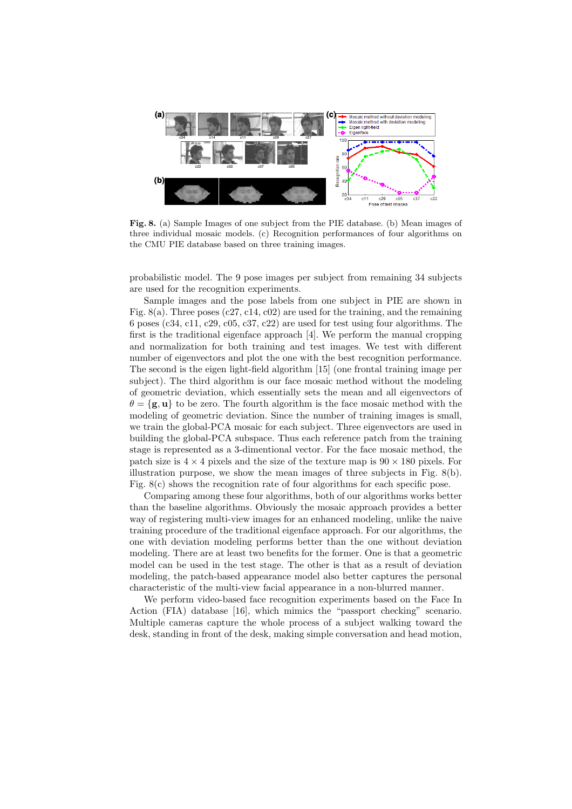

Fig. 8. (a) Sample Images of one subject from the PIE database. (b) Mean images of three individual mosaic models. (c) Recognition performances of four algorithms on the CMU PIE database based on three training images.

probabilistic model. The 9 pose images per subject from remaining 34 subjects are used for the recognition experiments.

Sample images and the pose labels from one subject in PIE are shown in Fig.  $8(a)$ . Three poses (c27, c14, c02) are used for the training, and the remaining 6 poses (c34, c11, c29, c05, c37, c22) are used for test using four algorithms. The first is the traditional eigenface approach [4]. We perform the manual cropping and normalization for both training and test images. We test with different number of eigenvectors and plot the one with the best recognition performance. The second is the eigen light-field algorithm [15] (one frontal training image per subject). The third algorithm is our face mosaic method without the modeling of geometric deviation, which essentially sets the mean and all eigenvectors of  $\theta = {\bf g, u}$  to be zero. The fourth algorithm is the face mosaic method with the modeling of geometric deviation. Since the number of training images is small, we train the global-PCA mosaic for each subject. Three eigenvectors are used in building the global-PCA subspace. Thus each reference patch from the training stage is represented as a 3-dimentional vector. For the face mosaic method, the patch size is  $4 \times 4$  pixels and the size of the texture map is  $90 \times 180$  pixels. For illustration purpose, we show the mean images of three subjects in Fig. 8(b). Fig. 8(c) shows the recognition rate of four algorithms for each specific pose.

Comparing among these four algorithms, both of our algorithms works better than the baseline algorithms. Obviously the mosaic approach provides a better way of registering multi-view images for an enhanced modeling, unlike the naive training procedure of the traditional eigenface approach. For our algorithms, the one with deviation modeling performs better than the one without deviation modeling. There are at least two benefits for the former. One is that a geometric model can be used in the test stage. The other is that as a result of deviation modeling, the patch-based appearance model also better captures the personal characteristic of the multi-view facial appearance in a non-blurred manner.

We perform video-based face recognition experiments based on the Face In Action (FIA) database [16], which mimics the "passport checking" scenario. Multiple cameras capture the whole process of a subject walking toward the desk, standing in front of the desk, making simple conversation and head motion,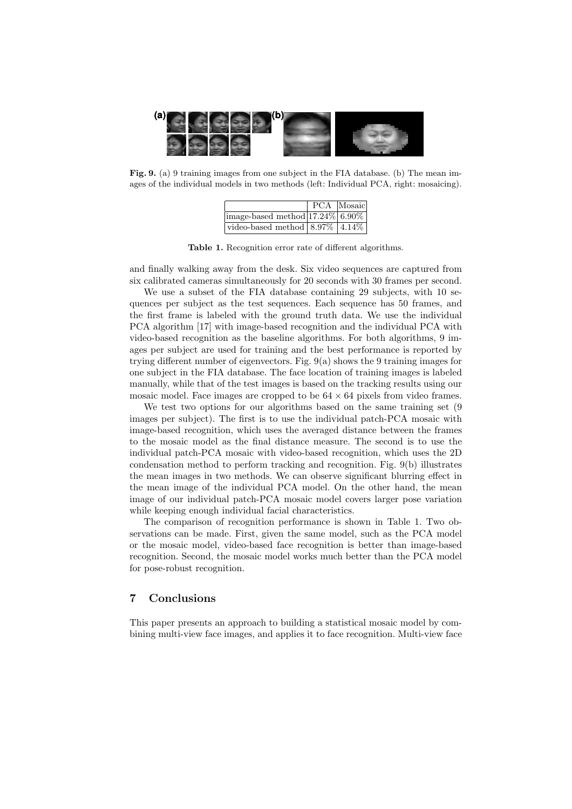

Fig. 9. (a) 9 training images from one subject in the FIA database. (b) The mean images of the individual models in two methods (left: Individual PCA, right: mosaicing).

|                                                                 | PCA Mosaic |
|-----------------------------------------------------------------|------------|
| $\boxed{\text{image-based method}}$ 17.24% 6.90%                |            |
| $\sqrt{\text{video-based method} \mid 8.97\% \mid 4.14\% \mid}$ |            |

Table 1. Recognition error rate of different algorithms.

and finally walking away from the desk. Six video sequences are captured from six calibrated cameras simultaneously for 20 seconds with 30 frames per second.

We use a subset of the FIA database containing 29 subjects, with 10 sequences per subject as the test sequences. Each sequence has 50 frames, and the first frame is labeled with the ground truth data. We use the individual PCA algorithm [17] with image-based recognition and the individual PCA with video-based recognition as the baseline algorithms. For both algorithms, 9 images per subject are used for training and the best performance is reported by trying different number of eigenvectors. Fig. 9(a) shows the 9 training images for one subject in the FIA database. The face location of training images is labeled manually, while that of the test images is based on the tracking results using our mosaic model. Face images are cropped to be  $64 \times 64$  pixels from video frames.

We test two options for our algorithms based on the same training set (9 images per subject). The first is to use the individual patch-PCA mosaic with image-based recognition, which uses the averaged distance between the frames to the mosaic model as the final distance measure. The second is to use the individual patch-PCA mosaic with video-based recognition, which uses the 2D condensation method to perform tracking and recognition. Fig. 9(b) illustrates the mean images in two methods. We can observe significant blurring effect in the mean image of the individual PCA model. On the other hand, the mean image of our individual patch-PCA mosaic model covers larger pose variation while keeping enough individual facial characteristics.

The comparison of recognition performance is shown in Table 1. Two observations can be made. First, given the same model, such as the PCA model or the mosaic model, video-based face recognition is better than image-based recognition. Second, the mosaic model works much better than the PCA model for pose-robust recognition.

#### 7 Conclusions

This paper presents an approach to building a statistical mosaic model by combining multi-view face images, and applies it to face recognition. Multi-view face